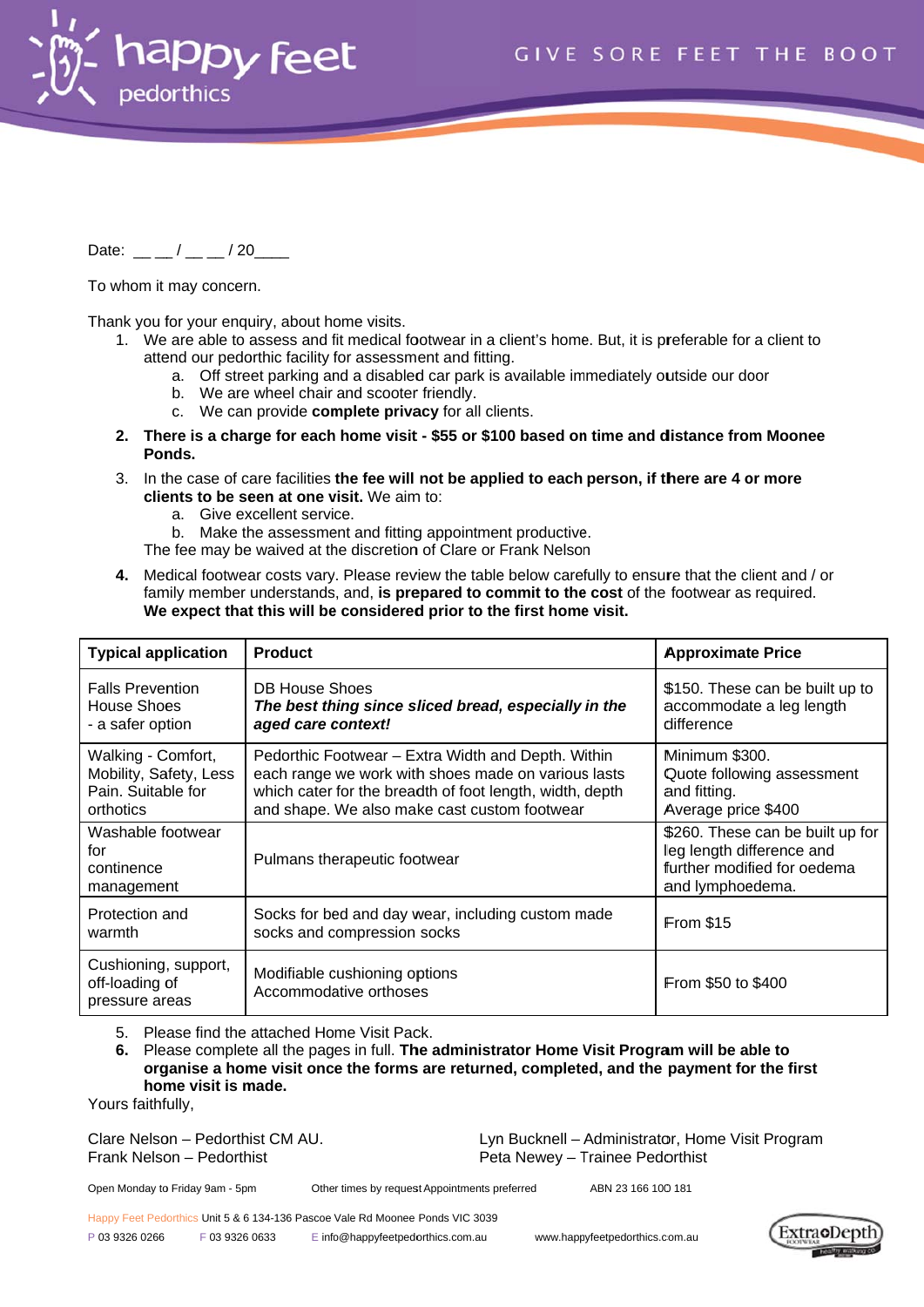

Date:  $\frac{1}{2}$  /  $\frac{1}{20}$ 

To whom it may concern.

Thank you for your enquiry, about home visits.

- 1. We are able to assess and fit medical footwear in a client's home. But, it is preferable for a client to attend our pedorthic facility for assessment and fitting.
	- a. Off street parking and a disabled car park is available immediately outside our door
	- b. We are wheel chair and scooter friendly.
	- c. We can provide complete privacy for all clients.
- 2. There is a charge for each home visit \$55 or \$100 based on time and distance from Moonee Ponds.
- 3. In the case of care facilities the fee will not be applied to each person, if there are 4 or more clients to be seen at one visit. We aim to:
	- a. Give excellent service.
	- b. Make the assessment and fitting appointment productive.
	- The fee may be waived at the discretion of Clare or Frank Nelson
- 4. Medical footwear costs vary. Please review the table below carefully to ensure that the client and / or family member understands, and, is prepared to commit to the cost of the footwear as required. We expect that this will be considered prior to the first home visit.

| <b>Typical application</b>                                                      | <b>Product</b>                                                                                                                                                                                                        | <b>Approximate Price</b>                                                                                         |
|---------------------------------------------------------------------------------|-----------------------------------------------------------------------------------------------------------------------------------------------------------------------------------------------------------------------|------------------------------------------------------------------------------------------------------------------|
| <b>Falls Prevention</b><br>House Shoes<br>- a safer option                      | <b>DB House Shoes</b><br>The best thing since sliced bread, especially in the<br>aged care context!                                                                                                                   | \$150. These can be built up to<br>accommodate a leg length<br>difference                                        |
| Walking - Comfort,<br>Mobility, Safety, Less<br>Pain. Suitable for<br>orthotics | Pedorthic Footwear - Extra Width and Depth. Within<br>each range we work with shoes made on various lasts<br>which cater for the breadth of foot length, width, depth<br>and shape. We also make cast custom footwear | Minimum \$300.<br>Quote following assessment<br>and fitting.<br>Average price \$400                              |
| Washable footwear<br>for<br>continence<br>management                            | Pulmans therapeutic footwear                                                                                                                                                                                          | \$260. These can be built up for<br>leg length difference and<br>further modified for oedema<br>and lymphoedema. |
| Protection and<br>warmth                                                        | Socks for bed and day wear, including custom made<br>socks and compression socks                                                                                                                                      | <b>From \$15</b>                                                                                                 |
| Cushioning, support,<br>off-loading of<br>pressure areas                        | Modifiable cushioning options<br>Accommodative orthoses                                                                                                                                                               | <b>From \$50 to \$400</b>                                                                                        |

Please find the attached Home Visit Pack.  $5<sub>1</sub>$ 

Please complete all the pages in full. The administrator Home Visit Program will be able to  $6.$ organise a home visit once the forms are returned, completed, and the payment for the first home visit is made.

Yours faithfully,

Clare Nelson - Pedorthist CM AU. Frank Nelson - Pedorthist

Lyn Bucknell - Administrator, Home Visit Program Peta Newey - Trainee Pedorthist

Open Monday to Friday 9am - 5pm

Other times by request Appointments preferred

ARN 23 166 100 181

Happy Feet Pedorthics Unit 5 & 6 134-136 Pascoe Vale Rd Moonee Ponds VIC 3039

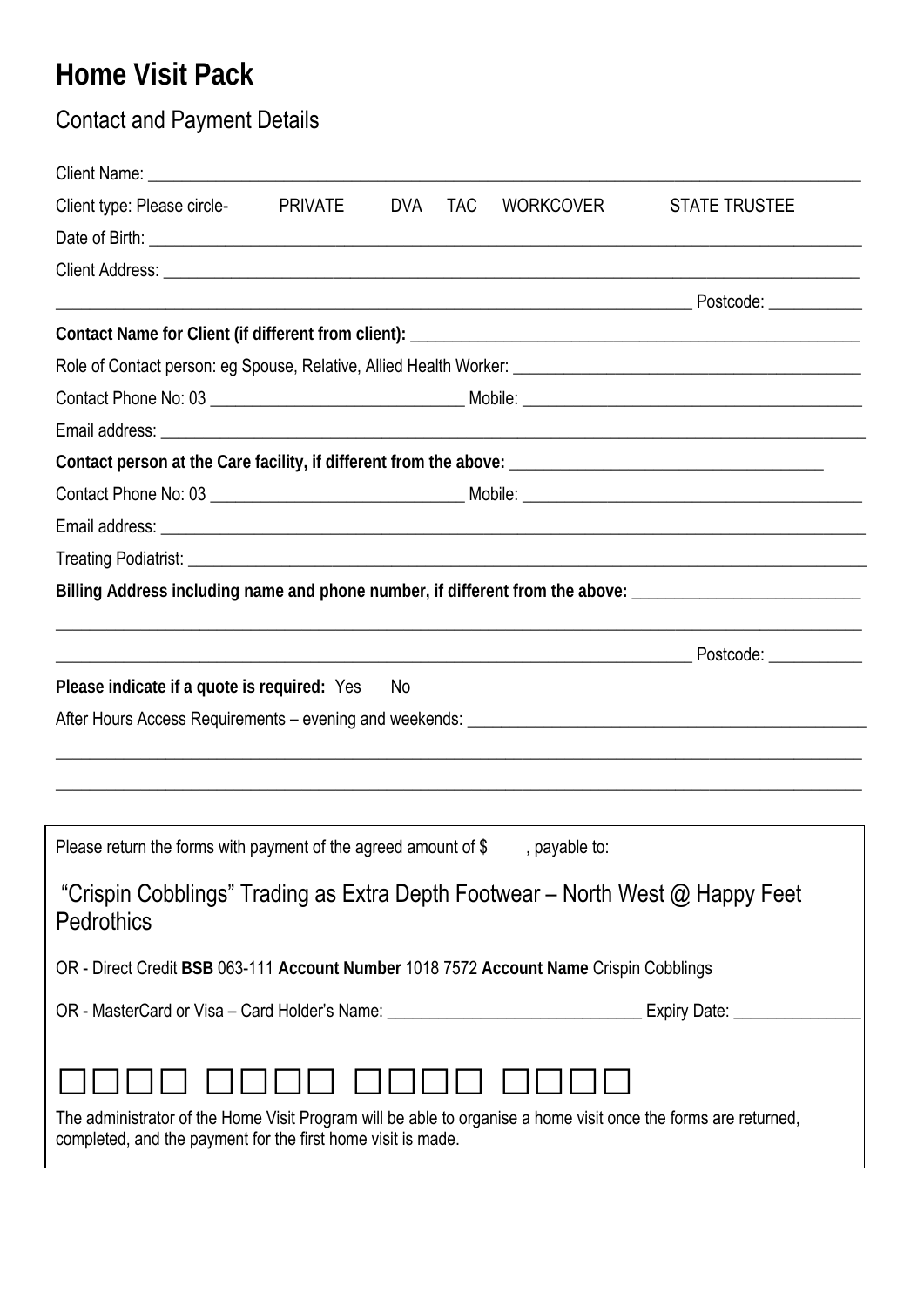# **Home Visit Pack**

## Contact and Payment Details

| Client Name: Name: Name and School and School and School and School and School and School and School and School and School and School and School and School and School and School and School and School and School and School |                |            |            |                  |                                                                                                      |
|-------------------------------------------------------------------------------------------------------------------------------------------------------------------------------------------------------------------------------|----------------|------------|------------|------------------|------------------------------------------------------------------------------------------------------|
| Client type: Please circle-                                                                                                                                                                                                   | <b>PRIVATE</b> | <b>DVA</b> | <b>TAC</b> | <b>WORKCOVER</b> | <b>STATE TRUSTEE</b>                                                                                 |
|                                                                                                                                                                                                                               |                |            |            |                  |                                                                                                      |
|                                                                                                                                                                                                                               |                |            |            |                  |                                                                                                      |
|                                                                                                                                                                                                                               |                |            |            |                  |                                                                                                      |
|                                                                                                                                                                                                                               |                |            |            |                  |                                                                                                      |
|                                                                                                                                                                                                                               |                |            |            |                  |                                                                                                      |
|                                                                                                                                                                                                                               |                |            |            |                  |                                                                                                      |
|                                                                                                                                                                                                                               |                |            |            |                  |                                                                                                      |
|                                                                                                                                                                                                                               |                |            |            |                  |                                                                                                      |
|                                                                                                                                                                                                                               |                |            |            |                  |                                                                                                      |
|                                                                                                                                                                                                                               |                |            |            |                  |                                                                                                      |
|                                                                                                                                                                                                                               |                |            |            |                  |                                                                                                      |
|                                                                                                                                                                                                                               |                |            |            |                  | Billing Address including name and phone number, if different from the above: ______________________ |
|                                                                                                                                                                                                                               |                |            |            |                  |                                                                                                      |
|                                                                                                                                                                                                                               |                |            |            |                  |                                                                                                      |
| Please indicate if a quote is required: Yes                                                                                                                                                                                   |                | No         |            |                  |                                                                                                      |
|                                                                                                                                                                                                                               |                |            |            |                  |                                                                                                      |
|                                                                                                                                                                                                                               |                |            |            |                  |                                                                                                      |
|                                                                                                                                                                                                                               |                |            |            |                  |                                                                                                      |
|                                                                                                                                                                                                                               |                |            |            |                  |                                                                                                      |
| Please return the forms with payment of the agreed amount of \$                                                                                                                                                               |                |            |            | , payable to:    |                                                                                                      |
| "Crispin Cobblings" Trading as Extra Depth Footwear - North West @ Happy Feet<br><b>Pedrothics</b>                                                                                                                            |                |            |            |                  |                                                                                                      |
| OR - Direct Credit BSB 063-111 Account Number 1018 7572 Account Name Crispin Cobblings                                                                                                                                        |                |            |            |                  |                                                                                                      |
| OR - MasterCard or Visa - Card Holder's Name: ___________________________________ Expiry Date: ___________                                                                                                                    |                |            |            |                  |                                                                                                      |
|                                                                                                                                                                                                                               |                |            |            |                  |                                                                                                      |
|                                                                                                                                                                                                                               |                |            |            |                  |                                                                                                      |
| The administrator of the Home Visit Program will be able to organise a home visit once the forms are returned,<br>completed, and the payment for the first home visit is made.                                                |                |            |            |                  |                                                                                                      |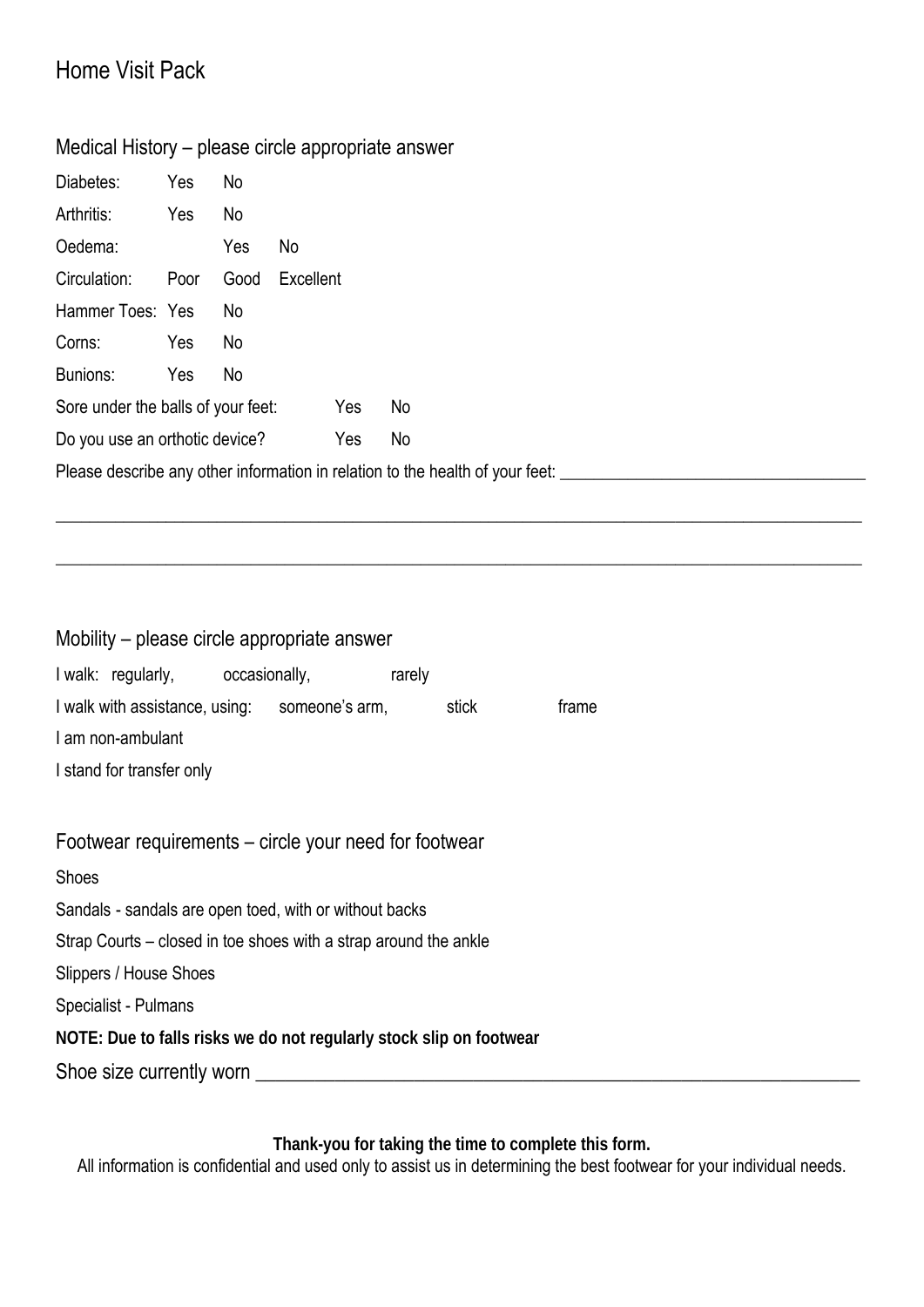### Home Visit Pack

### Medical History – please circle appropriate answer

| Diabetes:                                                                     | Yes  | No   |           |     |    |  |  |  |  |
|-------------------------------------------------------------------------------|------|------|-----------|-----|----|--|--|--|--|
| Arthritis:                                                                    | Yes  | No   |           |     |    |  |  |  |  |
| Oedema:                                                                       |      | Yes  | No        |     |    |  |  |  |  |
| Circulation:                                                                  | Poor | Good | Excellent |     |    |  |  |  |  |
| Hammer Toes: Yes                                                              |      | No   |           |     |    |  |  |  |  |
| Corns:                                                                        | Yes  | No   |           |     |    |  |  |  |  |
| Bunions:                                                                      | Yes  | No   |           |     |    |  |  |  |  |
| Sore under the balls of your feet:                                            |      |      |           | Yes | No |  |  |  |  |
| Do you use an orthotic device?                                                |      |      |           | Yes | No |  |  |  |  |
| Please describe any other information in relation to the health of your feet: |      |      |           |     |    |  |  |  |  |

\_\_\_\_\_\_\_\_\_\_\_\_\_\_\_\_\_\_\_\_\_\_\_\_\_\_\_\_\_\_\_\_\_\_\_\_\_\_\_\_\_\_\_\_\_\_\_\_\_\_\_\_\_\_\_\_\_\_\_\_\_\_\_\_\_\_\_\_\_\_\_\_\_\_\_\_\_\_\_\_\_\_\_\_\_\_\_\_\_\_\_\_\_\_\_

\_\_\_\_\_\_\_\_\_\_\_\_\_\_\_\_\_\_\_\_\_\_\_\_\_\_\_\_\_\_\_\_\_\_\_\_\_\_\_\_\_\_\_\_\_\_\_\_\_\_\_\_\_\_\_\_\_\_\_\_\_\_\_\_\_\_\_\_\_\_\_\_\_\_\_\_\_\_\_\_\_\_\_\_\_\_\_\_\_\_\_\_\_\_\_

#### Mobility – please circle appropriate answer

| I walk: regularly,             | occasionally,  | rarely |       |       |
|--------------------------------|----------------|--------|-------|-------|
| I walk with assistance, using: | someone's arm, |        | stick | trame |
| I am non-ambulant              |                |        |       |       |
| I stand for transfer only      |                |        |       |       |

#### Footwear requirements – circle your need for footwear

#### **Shoes**

Sandals - sandals are open toed, with or without backs

Strap Courts – closed in toe shoes with a strap around the ankle

Slippers / House Shoes

Specialist - Pulmans

**NOTE: Due to falls risks we do not regularly stock slip on footwear** 

Shoe size currently worn \_\_\_\_\_\_\_\_\_\_\_\_\_\_\_\_\_\_\_\_\_\_\_\_\_\_\_\_\_\_\_\_\_\_\_\_\_\_\_\_\_\_\_\_\_\_\_\_\_\_\_\_\_\_\_\_\_\_\_\_\_

**Thank-you for taking the time to complete this form.** 

All information is confidential and used only to assist us in determining the best footwear for your individual needs.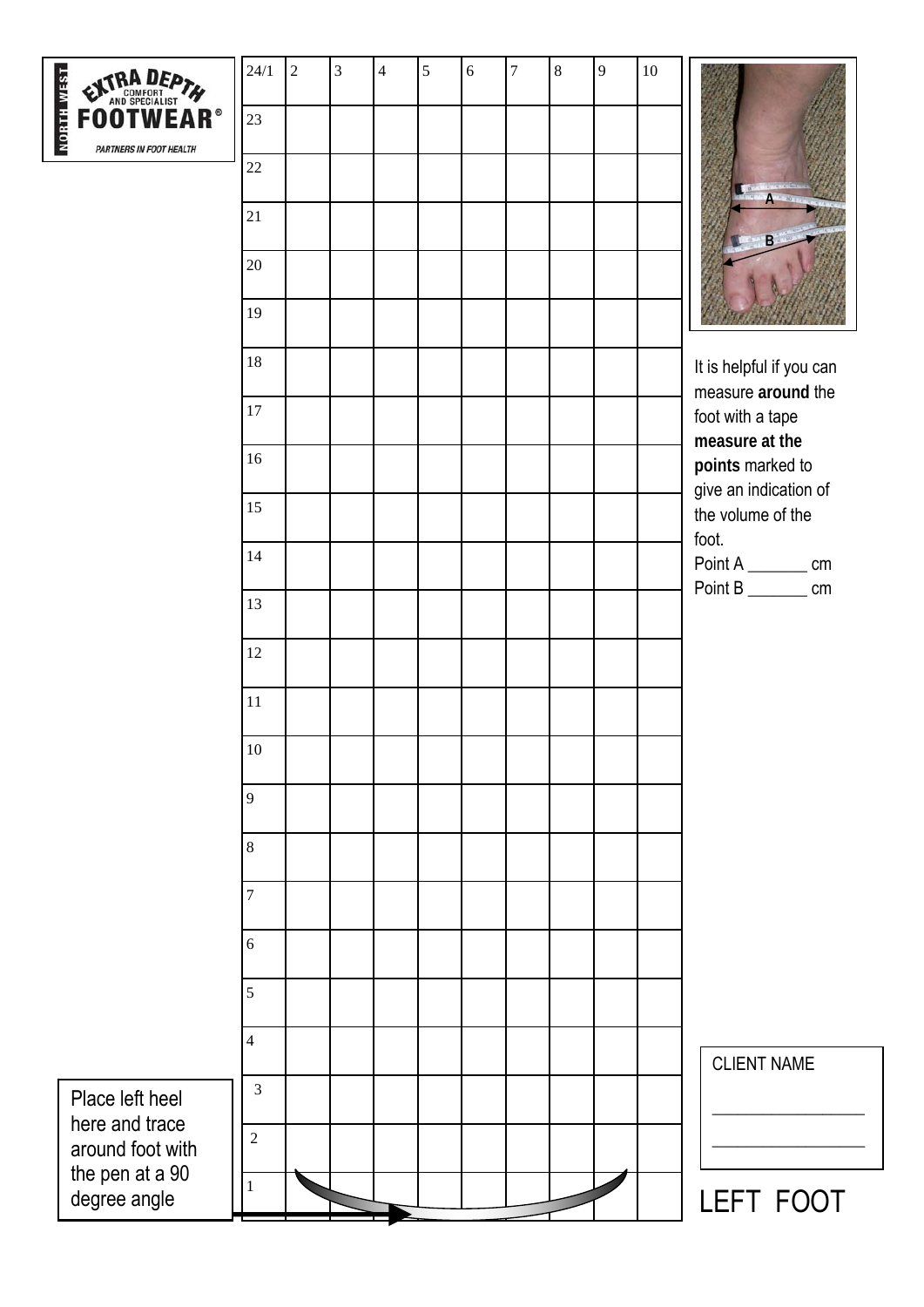

| <b>FOOTWEAR®</b><br><b>PARTNERS IN FOOT HEALTH</b> | 24/1<br>$23\,$ | $\overline{2}$ | $\mathfrak{Z}$ | $\overline{4}$ | 5 | $\sqrt{6}$ | $\overline{7}$ | $\bf 8$ | 9 | 10 |                                            |
|----------------------------------------------------|----------------|----------------|----------------|----------------|---|------------|----------------|---------|---|----|--------------------------------------------|
|                                                    | 22             |                |                |                |   |            |                |         |   |    |                                            |
|                                                    | 21             |                |                |                |   |            |                |         |   |    | <sub>B</sub>                               |
|                                                    | $20\,$         |                |                |                |   |            |                |         |   |    |                                            |
|                                                    | 19             |                |                |                |   |            |                |         |   |    |                                            |
|                                                    | 18             |                |                |                |   |            |                |         |   |    | It is helpful if you can                   |
|                                                    | 17             |                |                |                |   |            |                |         |   |    | measure around the<br>foot with a tape     |
|                                                    | 16             |                |                |                |   |            |                |         |   |    | measure at the<br>points marked to         |
|                                                    | 15             |                |                |                |   |            |                |         |   |    | give an indication of<br>the volume of the |
|                                                    | 14             |                |                |                |   |            |                |         |   |    | foot.<br>Point A __________ cm             |
|                                                    | 13             |                |                |                |   |            |                |         |   |    | Point B <sub>_________</sub> cm            |
|                                                    | 12             |                |                |                |   |            |                |         |   |    |                                            |
|                                                    | $11\,$         |                |                |                |   |            |                |         |   |    |                                            |
|                                                    | $10\,$         |                |                |                |   |            |                |         |   |    |                                            |
|                                                    | 9              |                |                |                |   |            |                |         |   |    |                                            |
|                                                    | $\,8\,$        |                |                |                |   |            |                |         |   |    |                                            |
|                                                    | 7              |                |                |                |   |            |                |         |   |    |                                            |
|                                                    | 6              |                |                |                |   |            |                |         |   |    |                                            |
|                                                    | 5              |                |                |                |   |            |                |         |   |    |                                            |
|                                                    | $\overline{4}$ |                |                |                |   |            |                |         |   |    |                                            |
| Place left heel                                    | $\mathfrak{Z}$ |                |                |                |   |            |                |         |   |    | <b>CLIENT NAME</b>                         |
| here and trace<br>around foot with                 | $\overline{2}$ |                |                |                |   |            |                |         |   |    |                                            |
| the pen at a 90<br>degree angle                    | 1              |                |                |                |   |            |                |         |   |    | <b>LEFT FOOT</b>                           |

T FOOT